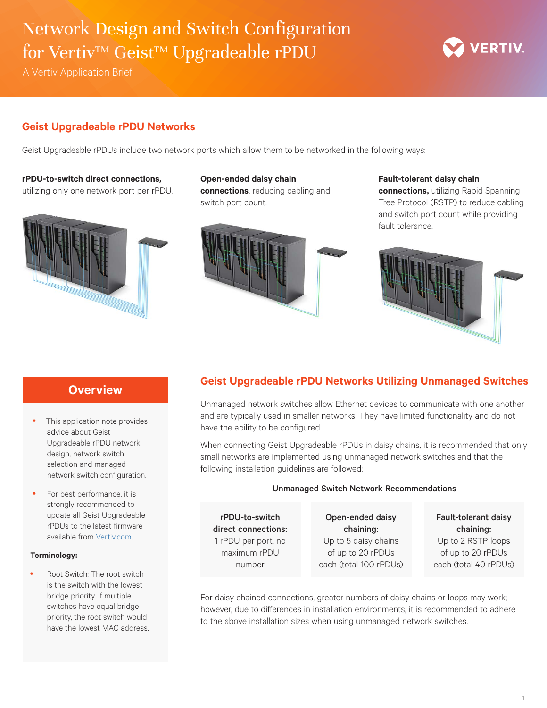# Network Design and Switch Configuration for Vertiv<sup>™</sup> Geist<sup>™</sup> Upgradeable rPDU

A Vertiv Application Brief

### **Geist Upgradeable rPDU Networks**

Geist Upgradeable rPDUs include two network ports which allow them to be networked in the following ways:

### **rPDU-to-switch direct connections***,*

utilizing only one network port per rPDU.



### **Open-ended daisy chain connections**, reducing cabling and switch port count.



### **Fault-tolerant daisy chain**

**connections,** utilizing Rapid Spanning Tree Protocol (RSTP) to reduce cabling and switch port count while providing fault tolerance.

**VERTIV** 



# **Overview**

- This application note provides advice about Geist Upgradeable rPDU network design, network switch selection and managed network switch configuration.
- For best performance, it is strongly recommended to update all Geist Upgradeable rPDUs to the latest firmware available from [Vertiv.com](http://Vertiv.com).

#### **Terminology:**

Root Switch: The root switch is the switch with the lowest bridge priority. If multiple switches have equal bridge priority, the root switch would have the lowest MAC address.

# **Geist Upgradeable rPDU Networks Utilizing Unmanaged Switches**

Unmanaged network switches allow Ethernet devices to communicate with one another and are typically used in smaller networks. They have limited functionality and do not have the ability to be configured.

When connecting Geist Upgradeable rPDUs in daisy chains, it is recommended that only small networks are implemented using unmanaged network switches and that the following installation guidelines are followed:

#### Unmanaged Switch Network Recommendations

rPDU-to-switch direct connections: 1 rPDU per port, no maximum rPDU number

Open-ended daisy chaining: Up to 5 daisy chains of up to 20 rPDUs each (total 100 rPDUs)

Fault-tolerant daisy chaining: Up to 2 RSTP loops of up to 20 rPDUs each (total 40 rPDUs)

For daisy chained connections, greater numbers of daisy chains or loops may work; however, due to differences in installation environments, it is recommended to adhere to the above installation sizes when using unmanaged network switches.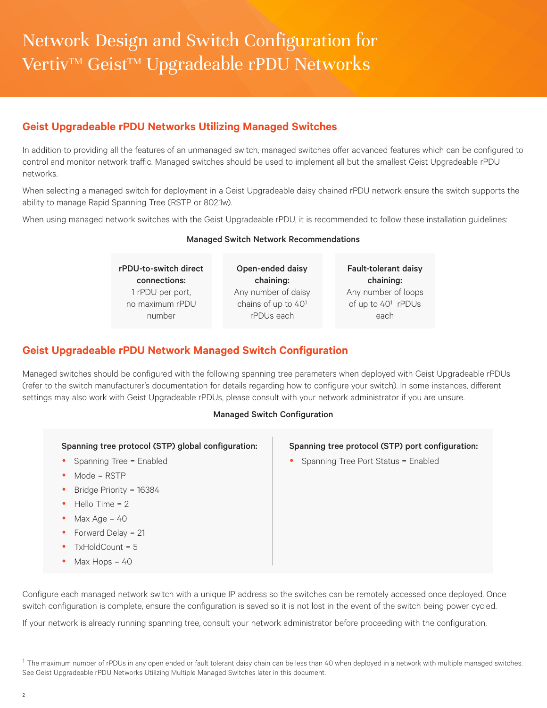### **Geist Upgradeable rPDU Networks Utilizing Managed Switches**

In addition to providing all the features of an unmanaged switch, managed switches offer advanced features which can be configured to control and monitor network traffic. Managed switches should be used to implement all but the smallest Geist Upgradeable rPDU networks.

When selecting a managed switch for deployment in a Geist Upgradeable daisy chained rPDU network ensure the switch supports the ability to manage Rapid Spanning Tree (RSTP or 802.1w).

When using managed network switches with the Geist Upgradeable rPDU, it is recommended to follow these installation guidelines:

| <b>Managed Ownter Network Recommendations</b> |                     |                                |
|-----------------------------------------------|---------------------|--------------------------------|
| rPDU-to-switch direct                         | Open-ended daisy    | <b>Fault-tolerant daisy</b>    |
| connections:                                  | chaining:           | chaining:                      |
| 1 rPDU per port,                              | Any number of daisy | Any number of loops            |
| no maximum rPDU                               | chains of up to 401 | of up to 40 <sup>1</sup> rPDUs |
| number                                        | rPDUs each          | each                           |

### Managed Switch Network Recommendations

### **Geist Upgradeable rPDU Network Managed Switch Configuration**

Managed switches should be configured with the following spanning tree parameters when deployed with Geist Upgradeable rPDUs (refer to the switch manufacturer's documentation for details regarding how to configure your switch). In some instances, different settings may also work with Geist Upgradeable rPDUs, please consult with your network administrator if you are unsure.

#### Managed Switch Configuration

- Spanning Tree = Enabled
- $\bullet$  Mode = RSTP
- Bridge Priority = 16384
- Hello Time = 2
- $Max Age = 40$
- Forward Delay  $= 21$
- $TxHoldCount = 5$
- $\bullet$  Max Hops = 40

#### Spanning tree protocol (STP) port configuration:

Spanning Tree Port Status = Enabled

Configure each managed network switch with a unique IP address so the switches can be remotely accessed once deployed. Once switch configuration is complete, ensure the configuration is saved so it is not lost in the event of the switch being power cycled.

If your network is already running spanning tree, consult your network administrator before proceeding with the configuration.

 $1$  The maximum number of rPDUs in any open ended or fault tolerant daisy chain can be less than 40 when deployed in a network with multiple managed switches. See Geist Upgradeable rPDU Networks Utilizing Multiple Managed Switches later in this document.